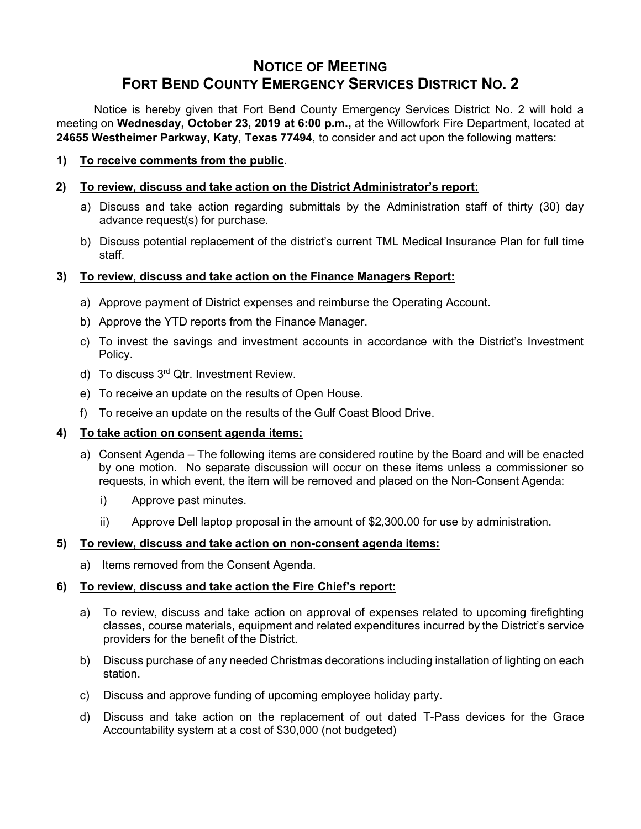# **NOTICE OF MEETING FORT BEND COUNTY EMERGENCY SERVICES DISTRICT NO. 2**

Notice is hereby given that Fort Bend County Emergency Services District No. 2 will hold a meeting on **Wednesday, October 23, 2019 at 6:00 p.m.,** at the Willowfork Fire Department, located at **24655 Westheimer Parkway, Katy, Texas 77494**, to consider and act upon the following matters:

**1) To receive comments from the public**.

## **2) To review, discuss and take action on the District Administrator's report:**

- a) Discuss and take action regarding submittals by the Administration staff of thirty (30) day advance request(s) for purchase.
- b) Discuss potential replacement of the district's current TML Medical Insurance Plan for full time staff.

## **3) To review, discuss and take action on the Finance Managers Report:**

- a) Approve payment of District expenses and reimburse the Operating Account.
- b) Approve the YTD reports from the Finance Manager.
- c) To invest the savings and investment accounts in accordance with the District's Investment Policy.
- d) To discuss 3<sup>rd</sup> Qtr. Investment Review.
- e) To receive an update on the results of Open House.
- f) To receive an update on the results of the Gulf Coast Blood Drive.

### **4) To take action on consent agenda items:**

- a) Consent Agenda The following items are considered routine by the Board and will be enacted by one motion. No separate discussion will occur on these items unless a commissioner so requests, in which event, the item will be removed and placed on the Non-Consent Agenda:
	- i) Approve past minutes.
	- ii) Approve Dell laptop proposal in the amount of \$2,300.00 for use by administration.

### **5) To review, discuss and take action on non-consent agenda items:**

a) Items removed from the Consent Agenda.

## **6) To review, discuss and take action the Fire Chief's report:**

- a) To review, discuss and take action on approval of expenses related to upcoming firefighting classes, course materials, equipment and related expenditures incurred by the District's service providers for the benefit of the District.
- b) Discuss purchase of any needed Christmas decorations including installation of lighting on each station.
- c) Discuss and approve funding of upcoming employee holiday party.
- d) Discuss and take action on the replacement of out dated T-Pass devices for the Grace Accountability system at a cost of \$30,000 (not budgeted)